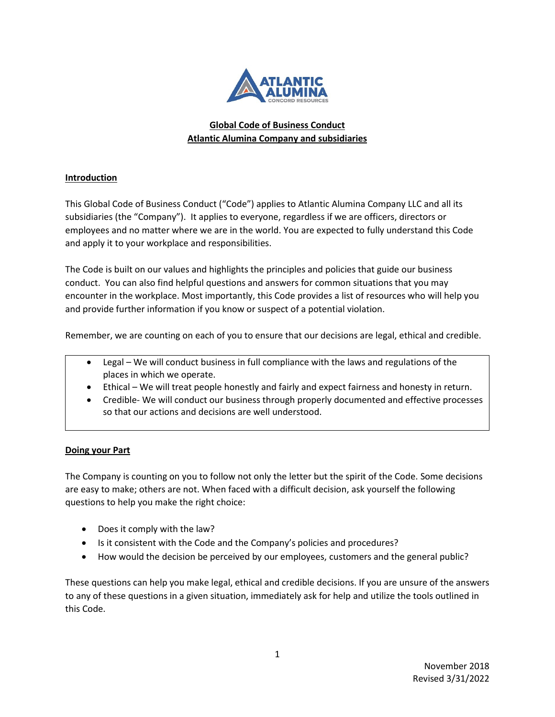

# **Global Code of Business Conduct Atlantic Alumina Company and subsidiaries**

## **Introduction**

This Global Code of Business Conduct ("Code") applies to Atlantic Alumina Company LLC and all its subsidiaries (the "Company"). It applies to everyone, regardless if we are officers, directors or employees and no matter where we are in the world. You are expected to fully understand this Code and apply it to your workplace and responsibilities.

The Code is built on our values and highlights the principles and policies that guide our business conduct. You can also find helpful questions and answers for common situations that you may encounter in the workplace. Most importantly, this Code provides a list of resources who will help you and provide further information if you know or suspect of a potential violation.

Remember, we are counting on each of you to ensure that our decisions are legal, ethical and credible.

- Legal We will conduct business in full compliance with the laws and regulations of the places in which we operate.
- Ethical We will treat people honestly and fairly and expect fairness and honesty in return.
- Credible- We will conduct our business through properly documented and effective processes so that our actions and decisions are well understood.

## **Doing your Part**

The Company is counting on you to follow not only the letter but the spirit of the Code. Some decisions are easy to make; others are not. When faced with a difficult decision, ask yourself the following questions to help you make the right choice:

- Does it comply with the law?
- Is it consistent with the Code and the Company's policies and procedures?
- How would the decision be perceived by our employees, customers and the general public?

These questions can help you make legal, ethical and credible decisions. If you are unsure of the answers to any of these questions in a given situation, immediately ask for help and utilize the tools outlined in this Code.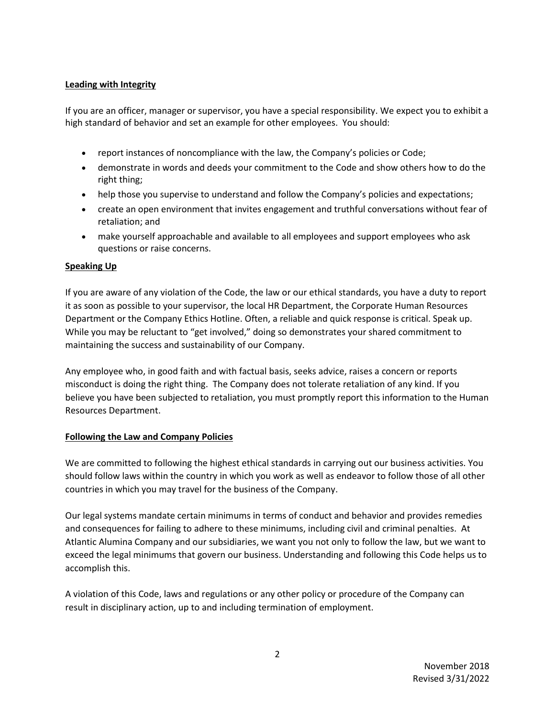### **Leading with Integrity**

If you are an officer, manager or supervisor, you have a special responsibility. We expect you to exhibit a high standard of behavior and set an example for other employees. You should:

- report instances of noncompliance with the law, the Company's policies or Code;
- demonstrate in words and deeds your commitment to the Code and show others how to do the right thing;
- help those you supervise to understand and follow the Company's policies and expectations;
- create an open environment that invites engagement and truthful conversations without fear of retaliation; and
- make yourself approachable and available to all employees and support employees who ask questions or raise concerns.

### **Speaking Up**

If you are aware of any violation of the Code, the law or our ethical standards, you have a duty to report it as soon as possible to your supervisor, the local HR Department, the Corporate Human Resources Department or the Company Ethics Hotline. Often, a reliable and quick response is critical. Speak up. While you may be reluctant to "get involved," doing so demonstrates your shared commitment to maintaining the success and sustainability of our Company.

Any employee who, in good faith and with factual basis, seeks advice, raises a concern or reports misconduct is doing the right thing. The Company does not tolerate retaliation of any kind. If you believe you have been subjected to retaliation, you must promptly report this information to the Human Resources Department.

#### **Following the Law and Company Policies**

We are committed to following the highest ethical standards in carrying out our business activities. You should follow laws within the country in which you work as well as endeavor to follow those of all other countries in which you may travel for the business of the Company.

Our legal systems mandate certain minimums in terms of conduct and behavior and provides remedies and consequences for failing to adhere to these minimums, including civil and criminal penalties. At Atlantic Alumina Company and our subsidiaries, we want you not only to follow the law, but we want to exceed the legal minimums that govern our business. Understanding and following this Code helps us to accomplish this.

A violation of this Code, laws and regulations or any other policy or procedure of the Company can result in disciplinary action, up to and including termination of employment.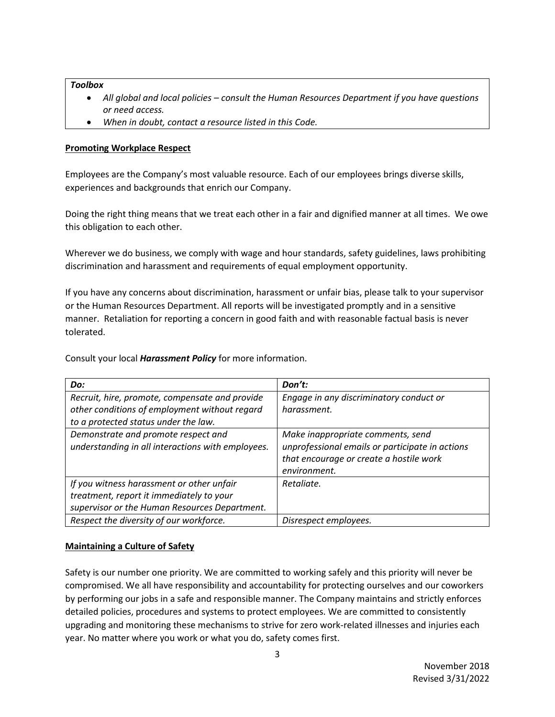#### *Toolbox*

- *All global and local policies – consult the Human Resources Department if you have questions or need access.*
- *When in doubt, contact a resource listed in this Code.*

### **Promoting Workplace Respect**

Employees are the Company's most valuable resource. Each of our employees brings diverse skills, experiences and backgrounds that enrich our Company.

Doing the right thing means that we treat each other in a fair and dignified manner at all times. We owe this obligation to each other.

Wherever we do business, we comply with wage and hour standards, safety guidelines, laws prohibiting discrimination and harassment and requirements of equal employment opportunity.

If you have any concerns about discrimination, harassment or unfair bias, please talk to your supervisor or the Human Resources Department. All reports will be investigated promptly and in a sensitive manner. Retaliation for reporting a concern in good faith and with reasonable factual basis is never tolerated.

Consult your local *Harassment Policy* for more information.

| Do:                                               | Don't:                                          |
|---------------------------------------------------|-------------------------------------------------|
| Recruit, hire, promote, compensate and provide    | Engage in any discriminatory conduct or         |
| other conditions of employment without regard     | harassment.                                     |
| to a protected status under the law.              |                                                 |
| Demonstrate and promote respect and               | Make inappropriate comments, send               |
| understanding in all interactions with employees. | unprofessional emails or participate in actions |
|                                                   | that encourage or create a hostile work         |
|                                                   | environment.                                    |
| If you witness harassment or other unfair         | Retaliate.                                      |
| treatment, report it immediately to your          |                                                 |
| supervisor or the Human Resources Department.     |                                                 |
| Respect the diversity of our workforce.           | Disrespect employees.                           |

## **Maintaining a Culture of Safety**

Safety is our number one priority. We are committed to working safely and this priority will never be compromised. We all have responsibility and accountability for protecting ourselves and our coworkers by performing our jobs in a safe and responsible manner. The Company maintains and strictly enforces detailed policies, procedures and systems to protect employees. We are committed to consistently upgrading and monitoring these mechanisms to strive for zero work-related illnesses and injuries each year. No matter where you work or what you do, safety comes first.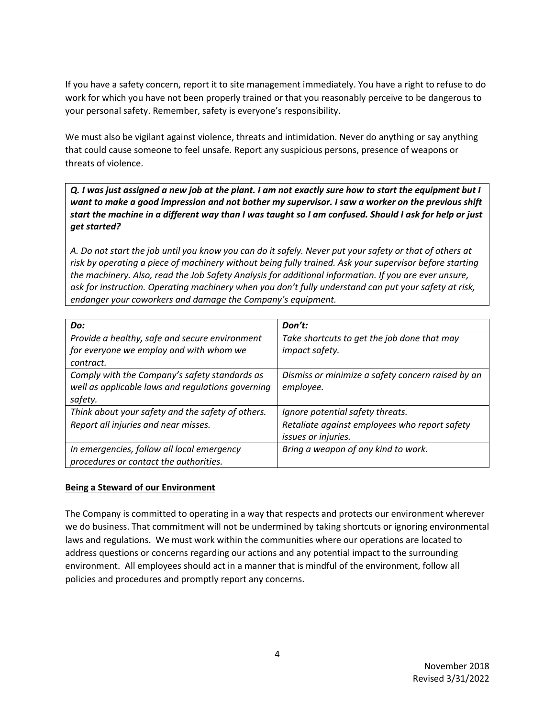If you have a safety concern, report it to site management immediately. You have a right to refuse to do work for which you have not been properly trained or that you reasonably perceive to be dangerous to your personal safety. Remember, safety is everyone's responsibility.

We must also be vigilant against violence, threats and intimidation. Never do anything or say anything that could cause someone to feel unsafe. Report any suspicious persons, presence of weapons or threats of violence.

*Q. I was just assigned a new job at the plant. I am not exactly sure how to start the equipment but I want to make a good impression and not bother my supervisor. I saw a worker on the previous shift start the machine in a different way than I was taught so I am confused. Should I ask for help or just get started?*

*A. Do not start the job until you know you can do it safely. Never put your safety or that of others at risk by operating a piece of machinery without being fully trained. Ask your supervisor before starting the machinery. Also, read the Job Safety Analysis for additional information. If you are ever unsure, ask for instruction. Operating machinery when you don't fully understand can put your safety at risk, endanger your coworkers and damage the Company's equipment.*

| Do:                                                                                                           | Don't:                                                               |
|---------------------------------------------------------------------------------------------------------------|----------------------------------------------------------------------|
| Provide a healthy, safe and secure environment<br>for everyone we employ and with whom we<br>contract.        | Take shortcuts to get the job done that may<br>impact safety.        |
| Comply with the Company's safety standards as<br>well as applicable laws and regulations governing<br>safety. | Dismiss or minimize a safety concern raised by an<br>employee.       |
| Think about your safety and the safety of others.                                                             | Ignore potential safety threats.                                     |
| Report all injuries and near misses.                                                                          | Retaliate against employees who report safety<br>issues or injuries. |
| In emergencies, follow all local emergency<br>procedures or contact the authorities.                          | Bring a weapon of any kind to work.                                  |

#### **Being a Steward of our Environment**

The Company is committed to operating in a way that respects and protects our environment wherever we do business. That commitment will not be undermined by taking shortcuts or ignoring environmental laws and regulations. We must work within the communities where our operations are located to address questions or concerns regarding our actions and any potential impact to the surrounding environment. All employees should act in a manner that is mindful of the environment, follow all policies and procedures and promptly report any concerns.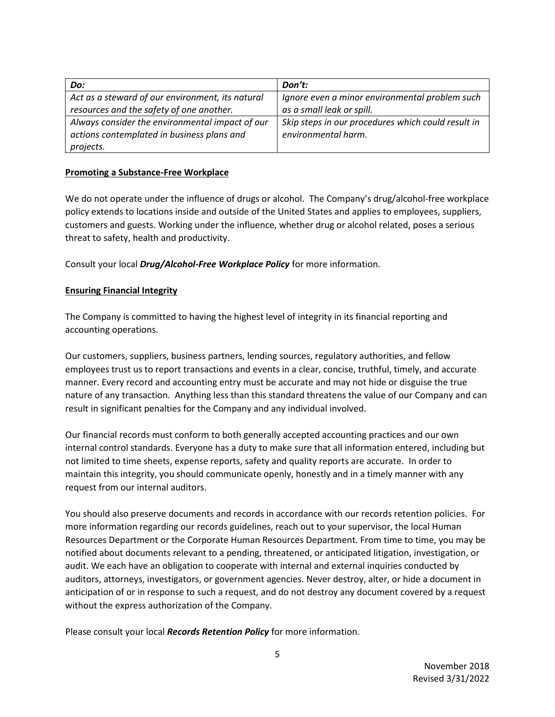| Do:                                              | Don't:                                             |
|--------------------------------------------------|----------------------------------------------------|
| Act as a steward of our environment, its natural | Ignore even a minor environmental problem such     |
| resources and the safety of one another.         | as a small leak or spill.                          |
| Always consider the environmental impact of our  | Skip steps in our procedures which could result in |
| actions contemplated in business plans and       | environmental harm.                                |
| projects.                                        |                                                    |

#### **Promoting a Substance-Free Workplace**

We do not operate under the influence of drugs or alcohol. The Company's drug/alcohol-free workplace policy extends to locations inside and outside of the United States and applies to employees, suppliers, customers and guests. Working under the influence, whether drug or alcohol related, poses a serious threat to safety, health and productivity.

Consult your local *Drug/Alcohol-Free Workplace Policy* for more information.

### **Ensuring Financial Integrity**

The Company is committed to having the highest level of integrity in its financial reporting and accounting operations.

Our customers, suppliers, business partners, lending sources, regulatory authorities, and fellow employees trust us to report transactions and events in a clear, concise, truthful, timely, and accurate manner. Every record and accounting entry must be accurate and may not hide or disguise the true nature of any transaction. Anything less than this standard threatens the value of our Company and can result in significant penalties for the Company and any individual involved.

Our financial records must conform to both generally accepted accounting practices and our own internal control standards. Everyone has a duty to make sure that all information entered, including but not limited to time sheets, expense reports, safety and quality reports are accurate. In order to maintain this integrity, you should communicate openly, honestly and in a timely manner with any request from our internal auditors.

You should also preserve documents and records in accordance with our records retention policies. For more information regarding our records guidelines, reach out to your supervisor, the local Human Resources Department or the Corporate Human Resources Department. From time to time, you may be notified about documents relevant to a pending, threatened, or anticipated litigation, investigation, or audit. We each have an obligation to cooperate with internal and external inquiries conducted by auditors, attorneys, investigators, or government agencies. Never destroy, alter, or hide a document in anticipation of or in response to such a request, and do not destroy any document covered by a request without the express authorization of the Company.

Please consult your local *Records Retention Policy* for more information.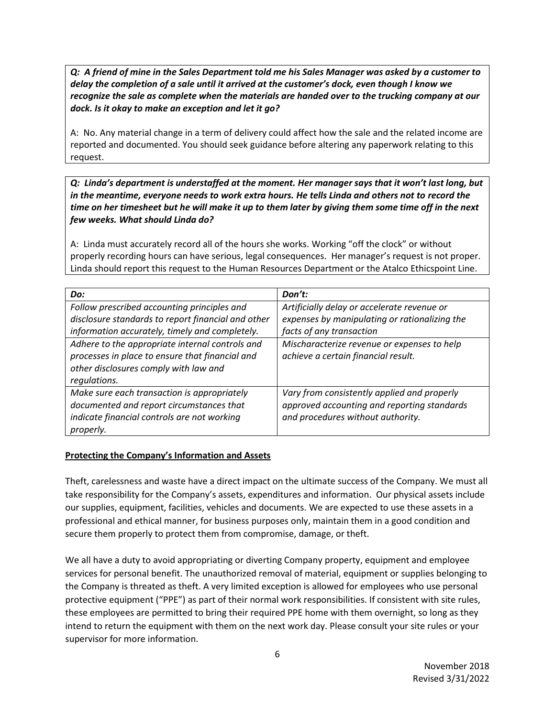*Q: A friend of mine in the Sales Department told me his Sales Manager was asked by a customer to delay the completion of a sale until it arrived at the customer's dock, even though I know we recognize the sale as complete when the materials are handed over to the trucking company at our dock. Is it okay to make an exception and let it go?*

A: No. Any material change in a term of delivery could affect how the sale and the related income are reported and documented. You should seek guidance before altering any paperwork relating to this request.

*Q: Linda's department is understaffed at the moment. Her manager says that it won't last long, but in the meantime, everyone needs to work extra hours. He tells Linda and others not to record the time on her timesheet but he will make it up to them later by giving them some time off in the next few weeks. What should Linda do?*

A: Linda must accurately record all of the hours she works. Working "off the clock" or without properly recording hours can have serious, legal consequences. Her manager's request is not proper. Linda should report this request to the Human Resources Department or the Atalco Ethicspoint Line.

| Do:                                                                                                                                                         | Don't:                                                                                                                          |
|-------------------------------------------------------------------------------------------------------------------------------------------------------------|---------------------------------------------------------------------------------------------------------------------------------|
| Follow prescribed accounting principles and<br>disclosure standards to report financial and other<br>information accurately, timely and completely.         | Artificially delay or accelerate revenue or<br>expenses by manipulating or rationalizing the<br>facts of any transaction        |
| Adhere to the appropriate internal controls and<br>processes in place to ensure that financial and<br>other disclosures comply with law and<br>regulations. | Mischaracterize revenue or expenses to help<br>achieve a certain financial result.                                              |
| Make sure each transaction is appropriately<br>documented and report circumstances that<br>indicate financial controls are not working<br>properly.         | Vary from consistently applied and properly<br>approved accounting and reporting standards<br>and procedures without authority. |

#### **Protecting the Company's Information and Assets**

Theft, carelessness and waste have a direct impact on the ultimate success of the Company. We must all take responsibility for the Company's assets, expenditures and information. Our physical assets include our supplies, equipment, facilities, vehicles and documents. We are expected to use these assets in a professional and ethical manner, for business purposes only, maintain them in a good condition and secure them properly to protect them from compromise, damage, or theft.

We all have a duty to avoid appropriating or diverting Company property, equipment and employee services for personal benefit. The unauthorized removal of material, equipment or supplies belonging to the Company is threated as theft. A very limited exception is allowed for employees who use personal protective equipment ("PPE") as part of their normal work responsibilities. If consistent with site rules, these employees are permitted to bring their required PPE home with them overnight, so long as they intend to return the equipment with them on the next work day. Please consult your site rules or your supervisor for more information.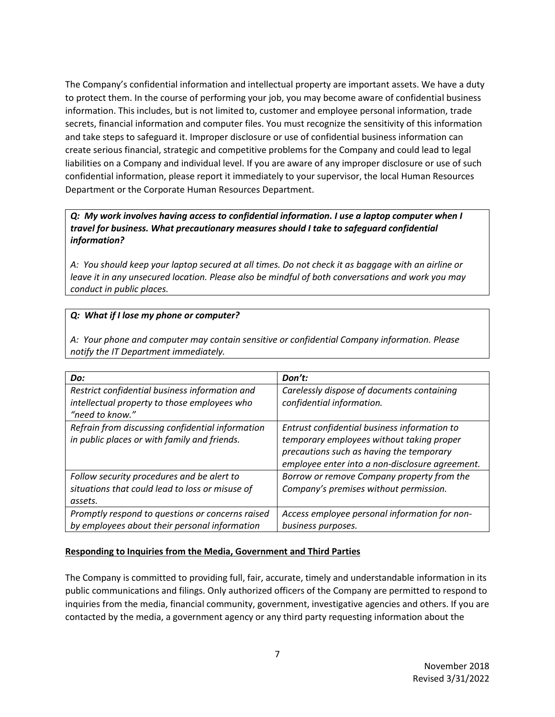The Company's confidential information and intellectual property are important assets. We have a duty to protect them. In the course of performing your job, you may become aware of confidential business information. This includes, but is not limited to, customer and employee personal information, trade secrets, financial information and computer files. You must recognize the sensitivity of this information and take steps to safeguard it. Improper disclosure or use of confidential business information can create serious financial, strategic and competitive problems for the Company and could lead to legal liabilities on a Company and individual level. If you are aware of any improper disclosure or use of such confidential information, please report it immediately to your supervisor, the local Human Resources Department or the Corporate Human Resources Department.

## *Q: My work involves having access to confidential information. I use a laptop computer when I travel for business. What precautionary measures should I take to safeguard confidential information?*

*A: You should keep your laptop secured at all times. Do not check it as baggage with an airline or leave it in any unsecured location. Please also be mindful of both conversations and work you may conduct in public places.*

### *Q: What if I lose my phone or computer?*

*A: Your phone and computer may contain sensitive or confidential Company information. Please notify the IT Department immediately.*

| Do:                                              | Don't:                                          |
|--------------------------------------------------|-------------------------------------------------|
| Restrict confidential business information and   | Carelessly dispose of documents containing      |
| intellectual property to those employees who     | confidential information.                       |
| "need to know."                                  |                                                 |
| Refrain from discussing confidential information | Entrust confidential business information to    |
| in public places or with family and friends.     | temporary employees without taking proper       |
|                                                  | precautions such as having the temporary        |
|                                                  | employee enter into a non-disclosure agreement. |
| Follow security procedures and be alert to       | Borrow or remove Company property from the      |
| situations that could lead to loss or misuse of  | Company's premises without permission.          |
| assets.                                          |                                                 |
| Promptly respond to questions or concerns raised | Access employee personal information for non-   |
| by employees about their personal information    | business purposes.                              |

## **Responding to Inquiries from the Media, Government and Third Parties**

The Company is committed to providing full, fair, accurate, timely and understandable information in its public communications and filings. Only authorized officers of the Company are permitted to respond to inquiries from the media, financial community, government, investigative agencies and others. If you are contacted by the media, a government agency or any third party requesting information about the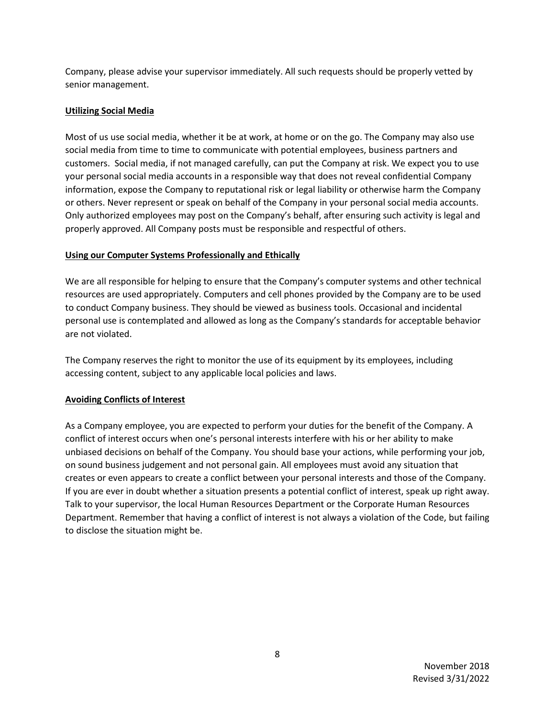Company, please advise your supervisor immediately. All such requests should be properly vetted by senior management.

### **Utilizing Social Media**

Most of us use social media, whether it be at work, at home or on the go. The Company may also use social media from time to time to communicate with potential employees, business partners and customers. Social media, if not managed carefully, can put the Company at risk. We expect you to use your personal social media accounts in a responsible way that does not reveal confidential Company information, expose the Company to reputational risk or legal liability or otherwise harm the Company or others. Never represent or speak on behalf of the Company in your personal social media accounts. Only authorized employees may post on the Company's behalf, after ensuring such activity is legal and properly approved. All Company posts must be responsible and respectful of others.

### **Using our Computer Systems Professionally and Ethically**

We are all responsible for helping to ensure that the Company's computer systems and other technical resources are used appropriately. Computers and cell phones provided by the Company are to be used to conduct Company business. They should be viewed as business tools. Occasional and incidental personal use is contemplated and allowed as long as the Company's standards for acceptable behavior are not violated.

The Company reserves the right to monitor the use of its equipment by its employees, including accessing content, subject to any applicable local policies and laws.

## **Avoiding Conflicts of Interest**

As a Company employee, you are expected to perform your duties for the benefit of the Company. A conflict of interest occurs when one's personal interests interfere with his or her ability to make unbiased decisions on behalf of the Company. You should base your actions, while performing your job, on sound business judgement and not personal gain. All employees must avoid any situation that creates or even appears to create a conflict between your personal interests and those of the Company. If you are ever in doubt whether a situation presents a potential conflict of interest, speak up right away. Talk to your supervisor, the local Human Resources Department or the Corporate Human Resources Department. Remember that having a conflict of interest is not always a violation of the Code, but failing to disclose the situation might be.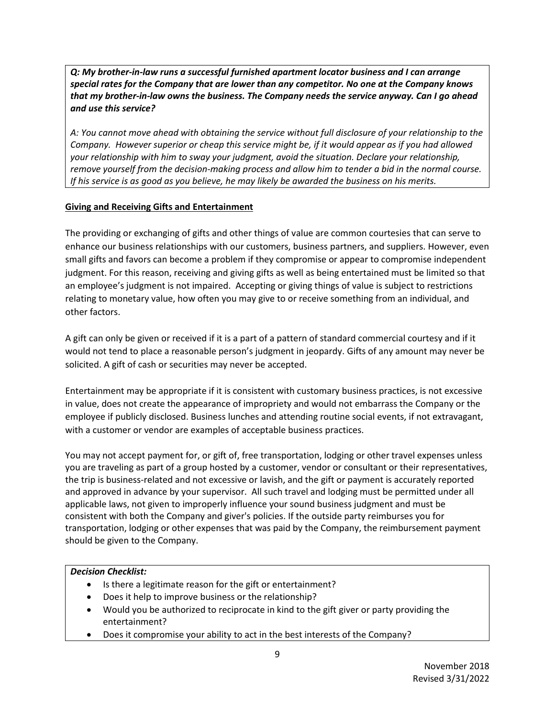*Q: My brother-in-law runs a successful furnished apartment locator business and I can arrange special rates for the Company that are lower than any competitor. No one at the Company knows that my brother-in-law owns the business. The Company needs the service anyway. Can I go ahead and use this service?*

*A: You cannot move ahead with obtaining the service without full disclosure of your relationship to the Company. However superior or cheap this service might be, if it would appear as if you had allowed your relationship with him to sway your judgment, avoid the situation. Declare your relationship, remove yourself from the decision-making process and allow him to tender a bid in the normal course. If his service is as good as you believe, he may likely be awarded the business on his merits.*

## **Giving and Receiving Gifts and Entertainment**

The providing or exchanging of gifts and other things of value are common courtesies that can serve to enhance our business relationships with our customers, business partners, and suppliers. However, even small gifts and favors can become a problem if they compromise or appear to compromise independent judgment. For this reason, receiving and giving gifts as well as being entertained must be limited so that an employee's judgment is not impaired. Accepting or giving things of value is subject to restrictions relating to monetary value, how often you may give to or receive something from an individual, and other factors.

A gift can only be given or received if it is a part of a pattern of standard commercial courtesy and if it would not tend to place a reasonable person's judgment in jeopardy. Gifts of any amount may never be solicited. A gift of cash or securities may never be accepted.

Entertainment may be appropriate if it is consistent with customary business practices, is not excessive in value, does not create the appearance of impropriety and would not embarrass the Company or the employee if publicly disclosed. Business lunches and attending routine social events, if not extravagant, with a customer or vendor are examples of acceptable business practices.

You may not accept payment for, or gift of, free transportation, lodging or other travel expenses unless you are traveling as part of a group hosted by a customer, vendor or consultant or their representatives, the trip is business‐related and not excessive or lavish, and the gift or payment is accurately reported and approved in advance by your supervisor. All such travel and lodging must be permitted under all applicable laws, not given to improperly influence your sound business judgment and must be consistent with both the Company and giver's policies. If the outside party reimburses you for transportation, lodging or other expenses that was paid by the Company, the reimbursement payment should be given to the Company.

## *Decision Checklist:*

- Is there a legitimate reason for the gift or entertainment?
- Does it help to improve business or the relationship?
- Would you be authorized to reciprocate in kind to the gift giver or party providing the entertainment?
- Does it compromise your ability to act in the best interests of the Company?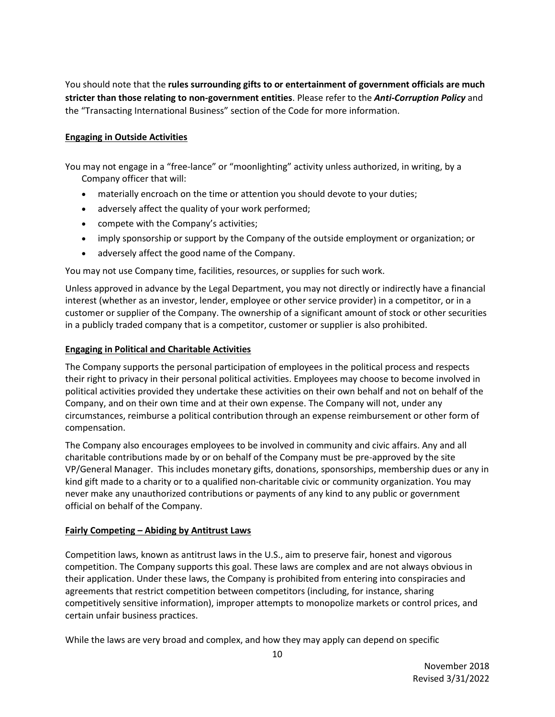You should note that the **rules surrounding gifts to or entertainment of government officials are much stricter than those relating to non-government entities**. Please refer to the *Anti-Corruption Policy* and the "Transacting International Business" section of the Code for more information.

### **Engaging in Outside Activities**

You may not engage in a "free‐lance" or "moonlighting" activity unless authorized, in writing, by a Company officer that will:

- materially encroach on the time or attention you should devote to your duties;
- adversely affect the quality of your work performed;
- compete with the Company's activities;
- imply sponsorship or support by the Company of the outside employment or organization; or
- adversely affect the good name of the Company.

You may not use Company time, facilities, resources, or supplies for such work.

Unless approved in advance by the Legal Department, you may not directly or indirectly have a financial interest (whether as an investor, lender, employee or other service provider) in a competitor, or in a customer or supplier of the Company. The ownership of a significant amount of stock or other securities in a publicly traded company that is a competitor, customer or supplier is also prohibited.

### **Engaging in Political and Charitable Activities**

The Company supports the personal participation of employees in the political process and respects their right to privacy in their personal political activities. Employees may choose to become involved in political activities provided they undertake these activities on their own behalf and not on behalf of the Company, and on their own time and at their own expense. The Company will not, under any circumstances, reimburse a political contribution through an expense reimbursement or other form of compensation.

The Company also encourages employees to be involved in community and civic affairs. Any and all charitable contributions made by or on behalf of the Company must be pre-approved by the site VP/General Manager. This includes monetary gifts, donations, sponsorships, membership dues or any in kind gift made to a charity or to a qualified non-charitable civic or community organization. You may never make any unauthorized contributions or payments of any kind to any public or government official on behalf of the Company.

## **Fairly Competing – Abiding by Antitrust Laws**

Competition laws, known as antitrust laws in the U.S., aim to preserve fair, honest and vigorous competition. The Company supports this goal. These laws are complex and are not always obvious in their application. Under these laws, the Company is prohibited from entering into conspiracies and agreements that restrict competition between competitors (including, for instance, sharing competitively sensitive information), improper attempts to monopolize markets or control prices, and certain unfair business practices.

While the laws are very broad and complex, and how they may apply can depend on specific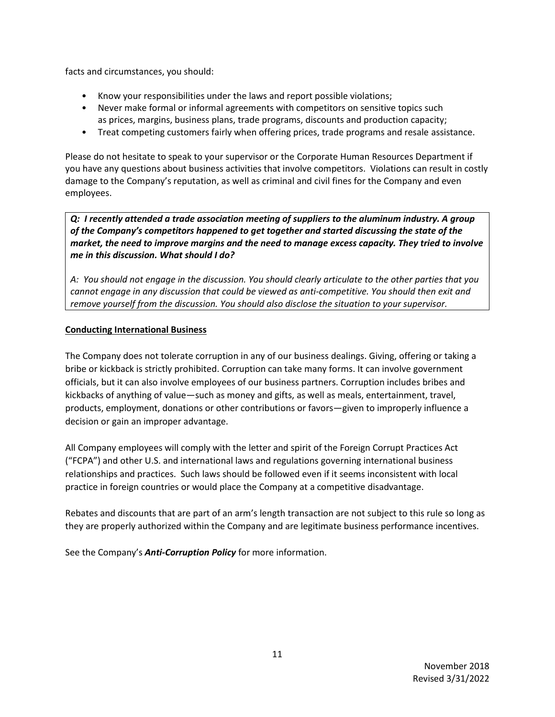facts and circumstances, you should:

- Know your responsibilities under the laws and report possible violations;
- Never make formal or informal agreements with competitors on sensitive topics such as prices, margins, business plans, trade programs, discounts and production capacity;
- Treat competing customers fairly when offering prices, trade programs and resale assistance.

Please do not hesitate to speak to your supervisor or the Corporate Human Resources Department if you have any questions about business activities that involve competitors. Violations can result in costly damage to the Company's reputation, as well as criminal and civil fines for the Company and even employees.

*Q: I recently attended a trade association meeting of suppliers to the aluminum industry. A group of the Company's competitors happened to get together and started discussing the state of the market, the need to improve margins and the need to manage excess capacity. They tried to involve me in this discussion. What should I do?*

*A: You should not engage in the discussion. You should clearly articulate to the other parties that you cannot engage in any discussion that could be viewed as anti-competitive. You should then exit and remove yourself from the discussion. You should also disclose the situation to your supervisor.*

### **Conducting International Business**

The Company does not tolerate corruption in any of our business dealings. Giving, offering or taking a bribe or kickback is strictly prohibited. Corruption can take many forms. It can involve government officials, but it can also involve employees of our business partners. Corruption includes bribes and kickbacks of anything of value—such as money and gifts, as well as meals, entertainment, travel, products, employment, donations or other contributions or favors—given to improperly influence a decision or gain an improper advantage.

All Company employees will comply with the letter and spirit of the Foreign Corrupt Practices Act ("FCPA") and other U.S. and international laws and regulations governing international business relationships and practices. Such laws should be followed even if it seems inconsistent with local practice in foreign countries or would place the Company at a competitive disadvantage.

Rebates and discounts that are part of an arm's length transaction are not subject to this rule so long as they are properly authorized within the Company and are legitimate business performance incentives.

See the Company's *Anti-Corruption Policy* for more information.